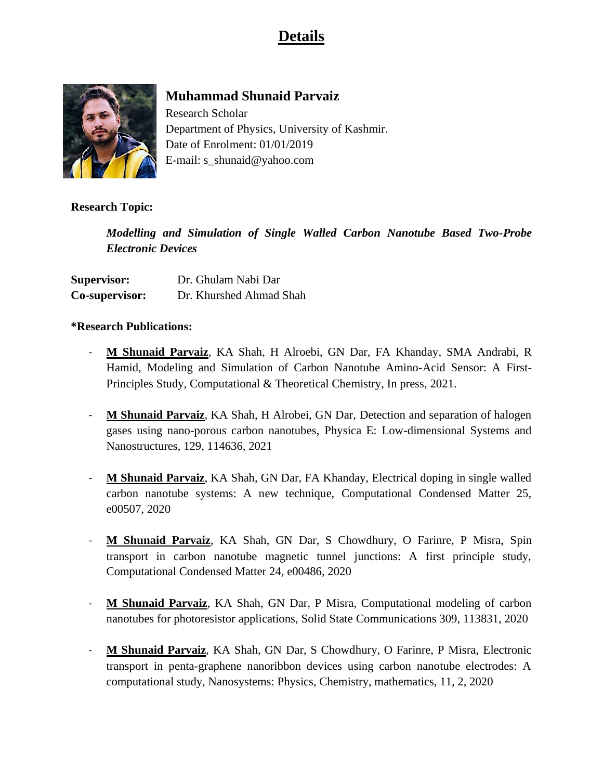# **Details**



# **Muhammad Shunaid Parvaiz**

Research Scholar Department of Physics, University of Kashmir. Date of Enrolment: 01/01/2019 E-mail: [s\\_shunaid@yahoo.com](mailto:s_shunaid@yahoo.com)

## **Research Topic:**

*Modelling and Simulation of Single Walled Carbon Nanotube Based Two-Probe Electronic Devices*

| <b>Supervisor:</b> | Dr. Ghulam Nabi Dar     |
|--------------------|-------------------------|
| Co-supervisor:     | Dr. Khurshed Ahmad Shah |

#### **\*Research Publications:**

- **M Shunaid Parvaiz**, KA Shah, H Alroebi, GN Dar, FA Khanday, SMA Andrabi, R Hamid, Modeling and Simulation of Carbon Nanotube Amino-Acid Sensor: A First-Principles Study, Computational & Theoretical Chemistry, In press, 2021.
- **M Shunaid Parvaiz**, KA Shah, H Alrobei, GN Dar, Detection and separation of halogen gases using nano-porous carbon nanotubes, Physica E: Low-dimensional Systems and Nanostructures, 129, 114636, 2021
- **M Shunaid Parvaiz**, KA Shah, GN Dar, FA Khanday, Electrical doping in single walled carbon nanotube systems: A new technique, Computational Condensed Matter 25, e00507, 2020
- **M Shunaid Parvaiz**, KA Shah, GN Dar, S Chowdhury, O Farinre, P Misra, Spin transport in carbon nanotube magnetic tunnel junctions: A first principle study, Computational Condensed Matter 24, e00486, 2020
- **M Shunaid Parvaiz**, KA Shah, GN Dar, P Misra, Computational modeling of carbon nanotubes for photoresistor applications, Solid State Communications 309, 113831, 2020
- **M Shunaid Parvaiz**, KA Shah, GN Dar, S Chowdhury, O Farinre, P Misra, Electronic transport in penta-graphene nanoribbon devices using carbon nanotube electrodes: A computational study, Nanosystems: Physics, Chemistry, mathematics, 11, 2, 2020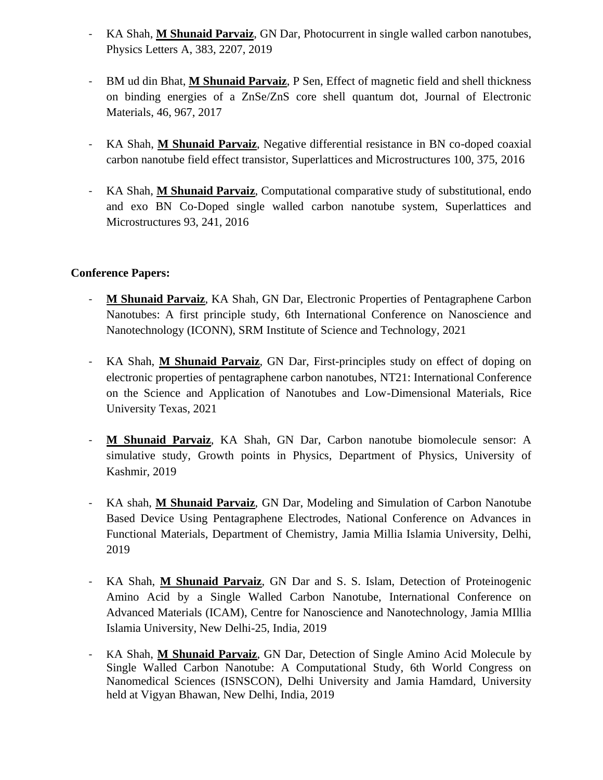- KA Shah, **M Shunaid Parvaiz**, GN Dar, Photocurrent in single walled carbon nanotubes, Physics Letters A, 383, 2207, 2019
- BM ud din Bhat, **M Shunaid Parvaiz**, P Sen, Effect of magnetic field and shell thickness on binding energies of a ZnSe/ZnS core shell quantum dot, Journal of Electronic Materials, 46, 967, 2017
- KA Shah, **M Shunaid Parvaiz**, Negative differential resistance in BN co-doped coaxial carbon nanotube field effect transistor, Superlattices and Microstructures 100, 375, 2016
- KA Shah, **M Shunaid Parvaiz**, Computational comparative study of substitutional, endo and exo BN Co-Doped single walled carbon nanotube system, Superlattices and Microstructures 93, 241, 2016

## **Conference Papers:**

- **M Shunaid Parvaiz**, KA Shah, GN Dar, Electronic Properties of Pentagraphene Carbon Nanotubes: A first principle study, 6th International Conference on Nanoscience and Nanotechnology (ICONN), SRM Institute of Science and Technology, 2021
- KA Shah, **M Shunaid Parvaiz**, GN Dar, First-principles study on effect of doping on electronic properties of pentagraphene carbon nanotubes, NT21: International Conference on the Science and Application of Nanotubes and Low-Dimensional Materials, Rice University Texas, 2021
- **M Shunaid Parvaiz**, KA Shah, GN Dar, Carbon nanotube biomolecule sensor: A simulative study, Growth points in Physics, Department of Physics, University of Kashmir, 2019
- KA shah, **M Shunaid Parvaiz**, GN Dar, Modeling and Simulation of Carbon Nanotube Based Device Using Pentagraphene Electrodes, National Conference on Advances in Functional Materials, Department of Chemistry, Jamia Millia Islamia University, Delhi, 2019
- KA Shah, **M Shunaid Parvaiz**, GN Dar and S. S. Islam, Detection of Proteinogenic Amino Acid by a Single Walled Carbon Nanotube, International Conference on Advanced Materials (ICAM), Centre for Nanoscience and Nanotechnology, Jamia MIllia Islamia University, New Delhi-25, India, 2019
- KA Shah, **M Shunaid Parvaiz**, GN Dar, Detection of Single Amino Acid Molecule by Single Walled Carbon Nanotube: A Computational Study, 6th World Congress on Nanomedical Sciences (ISNSCON), Delhi University and Jamia Hamdard, University held at Vigyan Bhawan, New Delhi, India, 2019